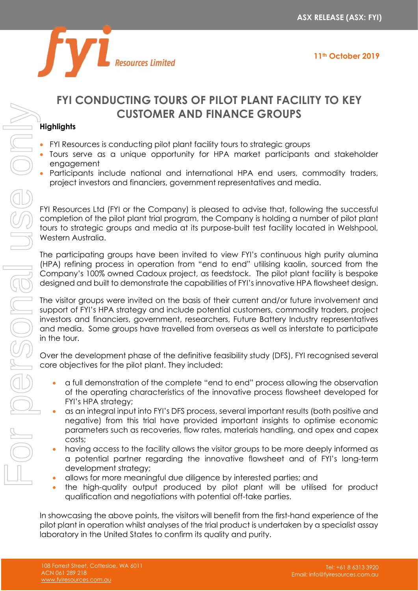



## **FYI CONDUCTING TOURS OF PILOT PLANT FACILITY TO KEY CUSTOMER AND FINANCE GROUPS**

## **Highlights**

- FYI Resources is conducting pilot plant facility tours to strategic groups
- Tours serve as a unique opportunity for HPA market participants and stakeholder engagement
- Participants include national and international HPA end users, commodity traders, project investors and financiers, government representatives and media.

FYI Resources Ltd (FYI or the Company) is pleased to advise that, following the successful completion of the pilot plant trial program, the Company is holding a number of pilot plant tours to strategic groups and media at its purpose-built test facility located in Welshpool, Western Australia.

The participating groups have been invited to view FYI's continuous high purity alumina (HPA) refining process in operation from "end to end" utilising kaolin, sourced from the Company's 100% owned Cadoux project, as feedstock. The pilot plant facility is bespoke designed and built to demonstrate the capabilities of FYI's innovative HPA flowsheet design.

The visitor groups were invited on the basis of their current and/or future involvement and support of FYI's HPA strategy and include potential customers, commodity traders, project investors and financiers, government, researchers, Future Battery Industry representatives and media. Some groups have travelled from overseas as well as interstate to participate in the tour.

Over the development phase of the definitive feasibility study (DFS), FYI recognised several core objectives for the pilot plant. They included:

- a full demonstration of the complete "end to end" process allowing the observation of the operating characteristics of the innovative process flowsheet developed for FYI's HPA strategy;
- as an integral input into FYI's DFS process, several important results (both positive and negative) from this trial have provided important insights to optimise economic parameters such as recoveries, flow rates, materials handling, and opex and capex costs;
- having access to the facility allows the visitor groups to be more deeply informed as a potential partner regarding the innovative flowsheet and of FYI's long-term development strategy;
- allows for more meaningful due diligence by interested parties; and
- the high-quality output produced by pilot plant will be utilised for product qualification and negotiations with potential off-take parties.

In showcasing the above points, the visitors will benefit from the first-hand experience of the pilot plant in operation whilst analyses of the trial product is undertaken by a specialist assay